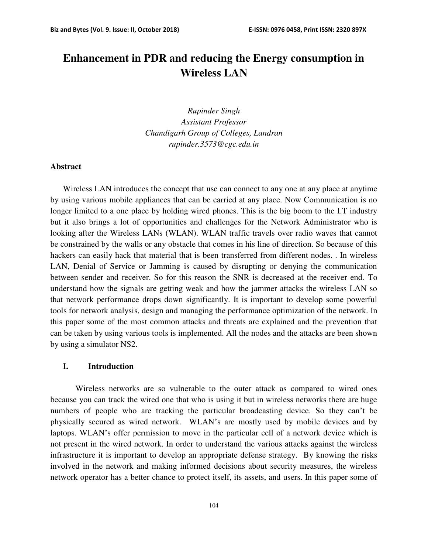# **Enhancement in PDR and reducing the Energy consumption in Wireless LAN**

*Rupinder Singh Assistant Professor Chandigarh Group of Colleges, Landran rupinder.3573@cgc.edu.in* 

## **Abstract**

Wireless LAN introduces the concept that use can connect to any one at any place at anytime by using various mobile appliances that can be carried at any place. Now Communication is no longer limited to a one place by holding wired phones. This is the big boom to the I.T industry but it also brings a lot of opportunities and challenges for the Network Administrator who is looking after the Wireless LANs (WLAN). WLAN traffic travels over radio waves that cannot be constrained by the walls or any obstacle that comes in his line of direction. So because of this hackers can easily hack that material that is been transferred from different nodes. . In wireless LAN, Denial of Service or Jamming is caused by disrupting or denying the communication between sender and receiver. So for this reason the SNR is decreased at the receiver end. To understand how the signals are getting weak and how the jammer attacks the wireless LAN so that network performance drops down significantly. It is important to develop some powerful tools for network analysis, design and managing the performance optimization of the network. In this paper some of the most common attacks and threats are explained and the prevention that can be taken by using various tools is implemented. All the nodes and the attacks are been shown by using a simulator NS2.

#### **I. Introduction**

Wireless networks are so vulnerable to the outer attack as compared to wired ones because you can track the wired one that who is using it but in wireless networks there are huge numbers of people who are tracking the particular broadcasting device. So they can't be physically secured as wired network. WLAN's are mostly used by mobile devices and by laptops. WLAN's offer permission to move in the particular cell of a network device which is not present in the wired network. In order to understand the various attacks against the wireless infrastructure it is important to develop an appropriate defense strategy. By knowing the risks involved in the network and making informed decisions about security measures, the wireless network operator has a better chance to protect itself, its assets, and users. In this paper some of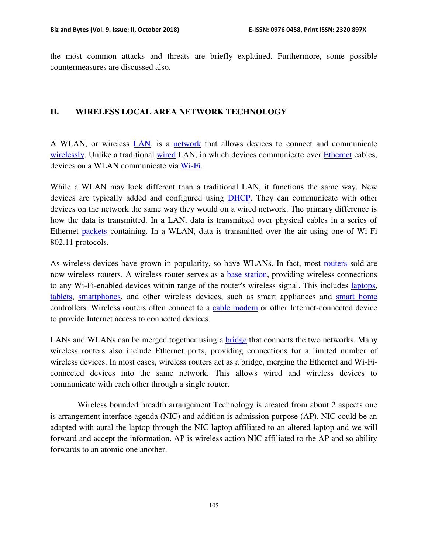the most common attacks and threats are briefly explained. Furthermore, some possible countermeasures are discussed also.

## **II. WIRELESS LOCAL AREA NETWORK TECHNOLOGY**

A WLAN, or wireless [LAN,](https://techterms.com/definition/lan) is a [network](https://techterms.com/definition/network) that allows devices to connect and communicate [wirelessly.](https://techterms.com/definition/wireless) Unlike a traditional [wired](https://techterms.com/definition/wired) LAN, in which devices communicate over [Ethernet](https://techterms.com/definition/ethernet) cables, devices on a WLAN communicate via [Wi-Fi.](https://techterms.com/definition/wi-fi)

While a WLAN may look different than a traditional LAN, it functions the same way. New devices are typically added and configured using [DHCP.](https://techterms.com/definition/DHCP) They can communicate with other devices on the network the same way they would on a wired network. The primary difference is how the data is transmitted. In a LAN, data is transmitted over physical cables in a series of Ethernet [packets](https://techterms.com/definition/packet) containing. In a WLAN, data is transmitted over the air using one of Wi-Fi 802.11 protocols.

As wireless devices have grown in popularity, so have WLANs. In fact, most [routers](https://techterms.com/definition/router) sold are now wireless routers. A wireless router serves as a [base station,](https://techterms.com/definition/basestation) providing wireless connections to any Wi-Fi-enabled devices within range of the router's wireless signal. This includes [laptops,](https://techterms.com/definition/laptop) [tablets,](https://techterms.com/definition/tablet) [smartphones,](https://techterms.com/definition/smartphone) and other wireless devices, such as smart appliances and [smart home](https://techterms.com/definition/smart_home) controllers. Wireless routers often connect to a [cable modem](https://techterms.com/definition/cablemodem) or other Internet-connected device to provide Internet access to connected devices.

LANs and WLANs can be merged together using a [bridge](https://techterms.com/definition/bridge) that connects the two networks. Many wireless routers also include Ethernet ports, providing connections for a limited number of wireless devices. In most cases, wireless routers act as a bridge, merging the Ethernet and Wi-Ficonnected devices into the same network. This allows wired and wireless devices to communicate with each other through a single router.

 Wireless bounded breadth arrangement Technology is created from about 2 aspects one is arrangement interface agenda (NIC) and addition is admission purpose (AP). NIC could be an adapted with aural the laptop through the NIC laptop affiliated to an altered laptop and we will forward and accept the information. AP is wireless action NIC affiliated to the AP and so ability forwards to an atomic one another.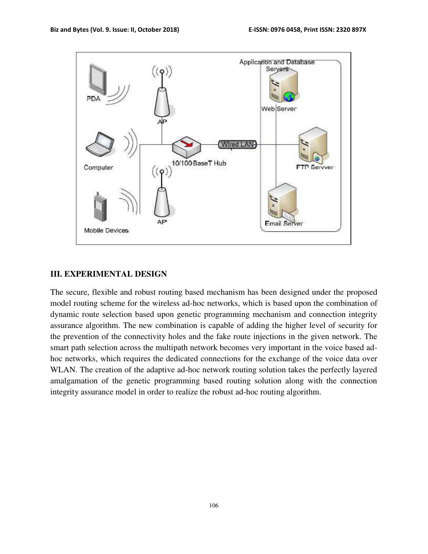

### **III. EXPERIMENTAL DESIGN**

The secure, flexible and robust routing based mechanism has been designed under the proposed model routing scheme for the wireless ad-hoc networks, which is based upon the combination of dynamic route selection based upon genetic programming mechanism and connection integrity assurance algorithm. The new combination is capable of adding the higher level of security for the prevention of the connectivity holes and the fake route injections in the given network. The smart path selection across the multipath network becomes very important in the voice based adhoc networks, which requires the dedicated connections for the exchange of the voice data over WLAN. The creation of the adaptive ad-hoc network routing solution takes the perfectly layered amalgamation of the genetic programming based routing solution along with the connection integrity assurance model in order to realize the robust ad-hoc routing algorithm.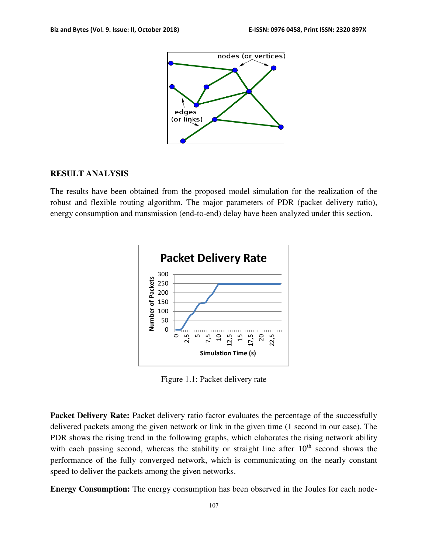

## **RESULT ANALYSIS**

The results have been obtained from the proposed model simulation for the realization of the robust and flexible routing algorithm. The major parameters of PDR (packet delivery ratio), energy consumption and transmission (end-to-end) delay have been analyzed under this section.



Figure 1.1: Packet delivery rate

**Packet Delivery Rate:** Packet delivery ratio factor evaluates the percentage of the successfully delivered packets among the given network or link in the given time (1 second in our case). The PDR shows the rising trend in the following graphs, which elaborates the rising network ability with each passing second, whereas the stability or straight line after  $10<sup>th</sup>$  second shows the performance of the fully converged network, which is communicating on the nearly constant speed to deliver the packets among the given networks.

**Energy Consumption:** The energy consumption has been observed in the Joules for each node-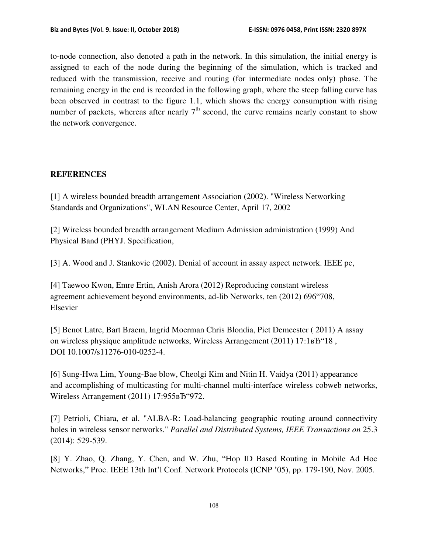to-node connection, also denoted a path in the network. In this simulation, the initial energy is assigned to each of the node during the beginning of the simulation, which is tracked and reduced with the transmission, receive and routing (for intermediate nodes only) phase. The remaining energy in the end is recorded in the following graph, where the steep falling curve has been observed in contrast to the figure 1.1, which shows the energy consumption with rising number of packets, whereas after nearly  $7<sup>th</sup>$  second, the curve remains nearly constant to show the network convergence.

## **REFERENCES**

[1] A wireless bounded breadth arrangement Association (2002). "Wireless Networking Standards and Organizations", WLAN Resource Center, April 17, 2002

[2] Wireless bounded breadth arrangement Medium Admission administration (1999) And Physical Band (PHYJ. Specification,

[3] A. Wood and J. Stankovic (2002). Denial of account in assay aspect network. IEEE pc,

[4] Taewoo Kwon, Emre Ertin, Anish Arora (2012) Reproducing constant wireless agreement achievement beyond environments, ad-lib Networks, ten (2012) 696"708, Elsevier

[5] Benot Latre, Bart Braem, Ingrid Moerman Chris Blondia, Piet Demeester ( 2011) A assay on wireless physique amplitude networks, Wireless Arrangement  $(2011)$  17:1 $\text{B}$ <sup>\*</sup>18, DOI 10.1007/s11276-010-0252-4.

[6] Sung-Hwa Lim, Young-Bae blow, Cheolgi Kim and Nitin H. Vaidya (2011) appearance and accomplishing of multicasting for multi-channel multi-interface wireless cobweb networks, Wireless Arrangement (2011) 17:955<sub>B</sub>T "972.

[7] Petrioli, Chiara, et al. "ALBA-R: Load-balancing geographic routing around connectivity holes in wireless sensor networks." *Parallel and Distributed Systems, IEEE Transactions on* 25.3 (2014): 529-539.

[8] Y. Zhao, Q. Zhang, Y. Chen, and W. Zhu, "Hop ID Based Routing in Mobile Ad Hoc Networks," Proc. IEEE 13th Int'l Conf. Network Protocols (ICNP '05), pp. 179-190, Nov. 2005.